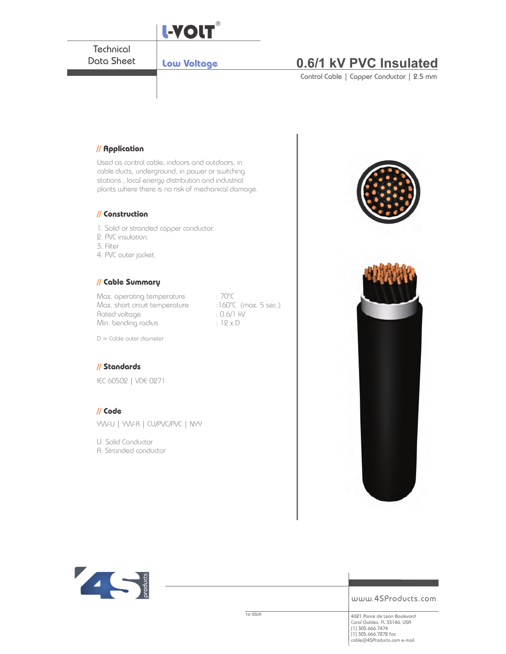

www.4SProducts.com